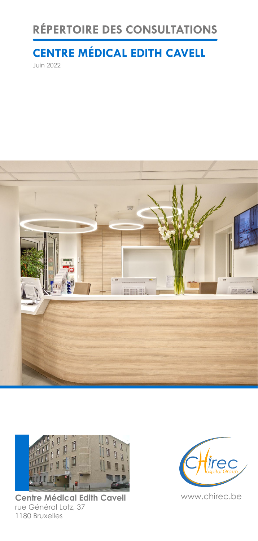## **RÉPERTOIRE DES CONSULTATIONS**

# **CENTRE MÉDICAL EDITH CAVELL**

Juin 2022





**Centre Médical Edith Cavell** www.chirec.be rue Général Lotz, 37 1180 Bruxelles

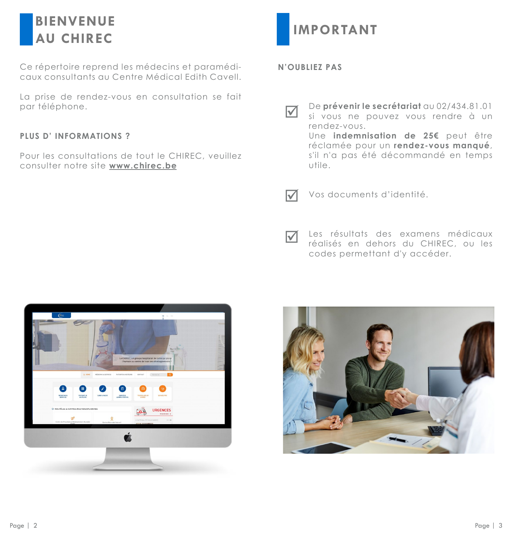## **BIENVENUE AU CHIREC**

Ce répertoire reprend les médecins et paramédicaux consultants au Centre Médical Edith Cavell.

La prise de rendez-vous en consultation se fait par téléphone.

### **PLUS D' INFORMATIONS ?**

Pour les consultations de tout le CHIREC, veuillez consulter notre site **www.chirec.be**



**N'OUBLIEZ PAS**

De **prévenir le secrétariat** au 02/434.81.01 si vous ne pouvez vous rendre à un rendez-vous. Une **indemnisation de 25€** peut être réclamée pour un **rendez-vous manqué**, s'il n'a pas été décommandé en temps utile.  $\overline{\vee}$ 



Vos documents d'identité.

Les résultats des examens médicaux réalisés en dehors du CHIREC, ou les codes permettant d'y accéder.  $\overline{\mathcal{M}}$ 



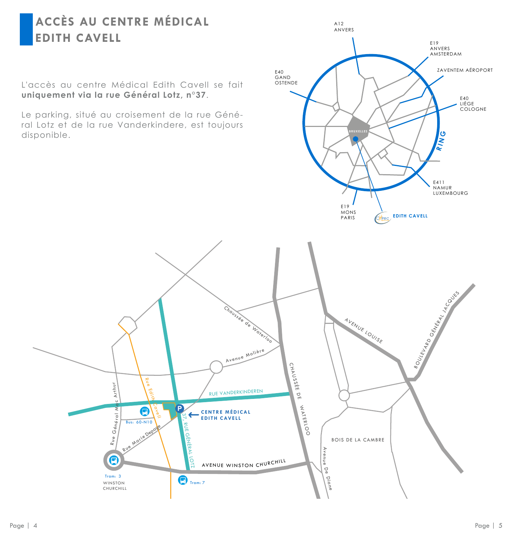## **ACCÈS AU CENTRE MÉDICAL EDITH CAVELL**

L'accès au centre Médical Edith Cavell se fait **uniquement via la rue Général Lotz, n°37**.

Le parking, situé au croisement de la rue Général Lotz et de la rue Vanderkindere, est toujours disponible.



A12 ANVERS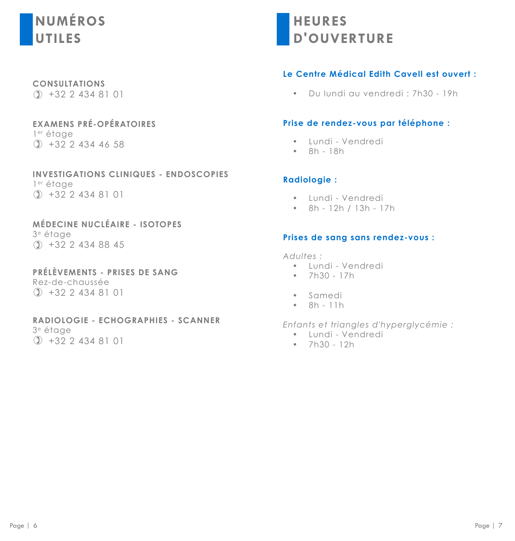# **NUMÉROS UTILES**

**CONSULTATIONS**  $( )$  +32 2 434 81 01

**EXAMENS PRÉ-OPÉRATOIRES** 1er étage +32 2 434 46 58

**INVESTIGATIONS CLINIQUES - ENDOSCOPIES** 1er étage +32 2 434 81 01

**MÉDECINE NUCLÉAIRE - ISOTOPES** 3e étage +32 2 434 88 45

**PRÉLÈVEMENTS - PRISES DE SANG** Rez-de-chaussée +32 2 434 81 01

**RADIOLOGIE - ECHOGRAPHIES - SCANNER** 3e étage +32 2 434 81 01

**HEURES D'OUVERTURE**

## **Le Centre Médical Edith Cavell est ouvert :**

• Du lundi au vendredi : 7h30 - 19h

#### **Prise de rendez-vous par téléphone :**

- Lundi Vendredi
- 8h 18h

### **Radiologie :**

- Lundi Vendredi
- 8h 12h / 13h 17h

#### **Prises de sang sans rendez-vous :**

*Adultes :*

- Lundi Vendredi
- $7h30 17h$
- Samedi
- 8h 11h

*Enfants et triangles d'hyperglycémie :*

- Lundi Vendredi
- 7h30 12h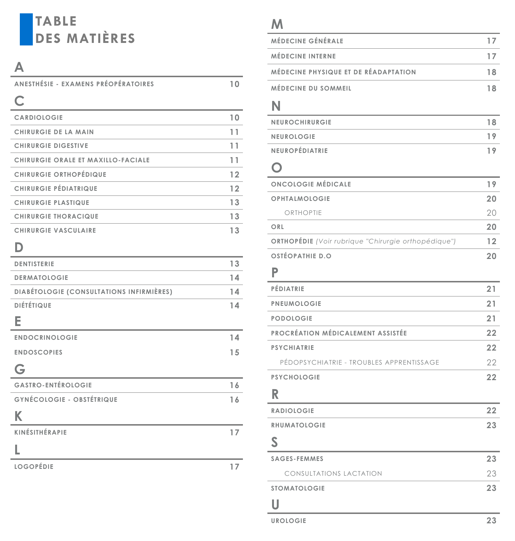# **TABLE DES MATIÈRES**

## **A**

| ANESTHÉSIE - EXAMENS PRÉOPÉRATOIRES      | 10              |
|------------------------------------------|-----------------|
| C                                        |                 |
| CARDIOLOGIE                              | 10 <sup>°</sup> |
| <b>CHIRURGIE DE LA MAIN</b>              | 11              |
| <b>CHIRURGIE DIGESTIVE</b>               | 11              |
| CHIRURGIE ORALE ET MAXILLO-FACIALE       | 11              |
| CHIRURGIE ORTHOPÉDIQUE                   | 12              |
| CHIRURGIE PÉDIATRIQUE                    | 12              |
| <b>CHIRURGIE PLASTIQUE</b>               | 13              |
| <b>CHIRURGIE THORACIQUE</b>              | 13              |
| <b>CHIRURGIE VASCULAIRE</b>              | 13              |
| D                                        |                 |
| <b>DENTISTERIE</b>                       | 13              |
| <b>DERMATOLOGIE</b>                      | 14              |
| DIABÉTOLOGIE (CONSULTATIONS INFIRMIÈRES) | 14              |
| <b>DIÉTÉTIQUE</b>                        | 14              |
| Е                                        |                 |
| <b>ENDOCRINOLOGIE</b>                    | 14              |
| <b>ENDOSCOPIES</b>                       | 15              |
| G                                        |                 |
| <b>GASTRO-ENTÉROLOGIE</b>                | 16              |
| GYNÉCOLOGIE - OBSTÉTRIQUE                | 16              |
| K                                        |                 |
| KINÉSITHÉRAPIE                           | 17              |

## **L**

**LOGOPÉDIE 17**

## **M**

| MÉDECINE GÉNÉRALE                    |    |
|--------------------------------------|----|
| <b>MÉDECINE INTERNE</b>              |    |
| MÉDECINE PHYSIQUE ET DE RÉADAPTATION | 18 |
| MÉDECINE DU SOMMEIL                  |    |

## **N**

| <b>NEUROCHIRURGIE</b> |  |
|-----------------------|--|
| <b>NEUROLOGIE</b>     |  |
| <b>NEUROPÉDIATRIE</b> |  |

## **O**

| <b>ONCOLOGIE MÉDICALE</b>                                  | 1 9 |
|------------------------------------------------------------|-----|
| <b>OPHTALMOLOGIE</b>                                       | 20  |
| ORTHOPTIE                                                  | 20  |
| ORL                                                        | 20  |
| <b>ORTHOPÉDIE</b> (Voir rubrique "Chirurgie orthopédique") | 12  |
| OSTÉOPATHIE D.O                                            |     |

# **P**

| PÉDIATRIE                                | 21 |
|------------------------------------------|----|
| PNEUMOLOGIE                              | 21 |
| PODOLOGIE                                | 21 |
| PROCRÉATION MÉDICALEMENT ASSISTÉE        | 22 |
| <b>PSYCHIATRIE</b>                       | 22 |
| PÉDOPSYCHIATRIE - TROUBLES APPRENTISSAGE | 22 |
| PSYCHOLOGIE                              | 22 |
| R                                        |    |
| RADIOLOGIE                               | 22 |
| RHUMATOLOGIE                             | 23 |
| S                                        |    |
| SAGES-FEMMES                             | 23 |
| <b>CONSULTATIONS LACTATION</b>           | 23 |
| <b>STOMATOLOGIE</b>                      | 23 |
| U                                        |    |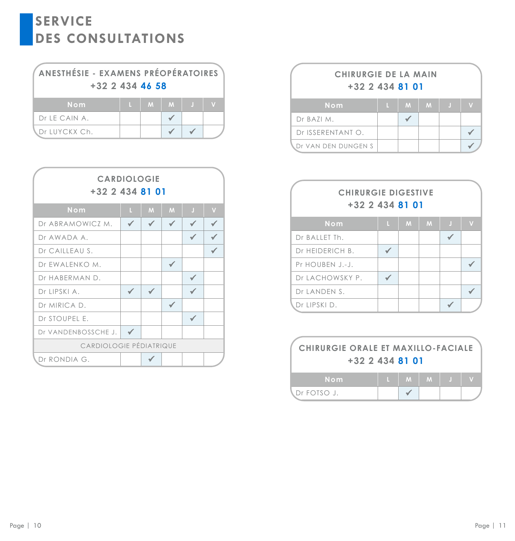| ANESTHÉSIE - EXAMENS PRÉOPÉRATOIRES<br>$+32$ 2 434 46 58 |  |  |         |  |  |  |
|----------------------------------------------------------|--|--|---------|--|--|--|
| Nom                                                      |  |  | $M$ $M$ |  |  |  |
| Dr LE CAIN A.                                            |  |  |         |  |  |  |
| Dr LUYCKX Ch.                                            |  |  |         |  |  |  |

| <b>CARDIOLOGIE</b><br>$+32$ 2 434 81 01 |    |   |   |   |                         |
|-----------------------------------------|----|---|---|---|-------------------------|
| Nom                                     | T. | M | M | J | $\overline{\mathsf{V}}$ |
| Dr ABRAMOWICZ M.                        |    |   |   |   |                         |
| Dr AWADA A.                             |    |   |   |   |                         |
| Dr CAILLEAU S.                          |    |   |   |   |                         |
| Dr EWALENKO M.                          |    |   |   |   |                         |
| Dr HABERMAN D.                          |    |   |   |   |                         |
| Dr LIPSKI A.                            |    |   |   |   |                         |
| Dr MIRICA D.                            |    |   |   |   |                         |
| Dr STOUPEL E.                           |    |   |   |   |                         |
| Dr VANDENBOSSCHE J.                     |    |   |   |   |                         |
| CARDIOLOGIE PÉDIATRIQUE                 |    |   |   |   |                         |
| Dr RONDIA G.                            |    |   |   |   |                         |

| <b>CHIRURGIE DE LA MAIN</b><br>$+32$ 2 434 81 01 |   |   |   |    |  |  |  |
|--------------------------------------------------|---|---|---|----|--|--|--|
| Nom                                              | п | M | M | H. |  |  |  |
| Dr BAZI M.                                       |   |   |   |    |  |  |  |
| Dr ISSERENTANT O.                                |   |   |   |    |  |  |  |
| Dr VAN DEN DUNGEN S                              |   |   |   |    |  |  |  |

| <b>CHIRURGIE DIGESTIVE</b><br>+32 2 434 81 01 |    |   |   |    |             |
|-----------------------------------------------|----|---|---|----|-------------|
| Nom                                           | L. | M | M | J. | $\mathbf v$ |
| Dr BALLET Th.                                 |    |   |   |    |             |
| Dr HEIDERICH B.                               |    |   |   |    |             |
| Pr HOUBEN J.-J.                               |    |   |   |    |             |
| Dr LACHOWSKY P.                               |    |   |   |    |             |
| Dr LANDEN S.                                  |    |   |   |    |             |
| Dr LIPSKI D.                                  |    |   |   |    |             |

| <b>CHIRURGIE ORALE ET MAXILLO-FACIALE</b><br>$+32$ 2 434 81 01 |  |                                                                                                                             |  |  |  |  |
|----------------------------------------------------------------|--|-----------------------------------------------------------------------------------------------------------------------------|--|--|--|--|
| Nom                                                            |  | $\begin{array}{c c c c c c c c} \hline \textbf{L} & \textbf{M} & \textbf{M} & \textbf{M} & \textbf{J} \\\hline \end{array}$ |  |  |  |  |
| .Dr FOTSO J.                                                   |  |                                                                                                                             |  |  |  |  |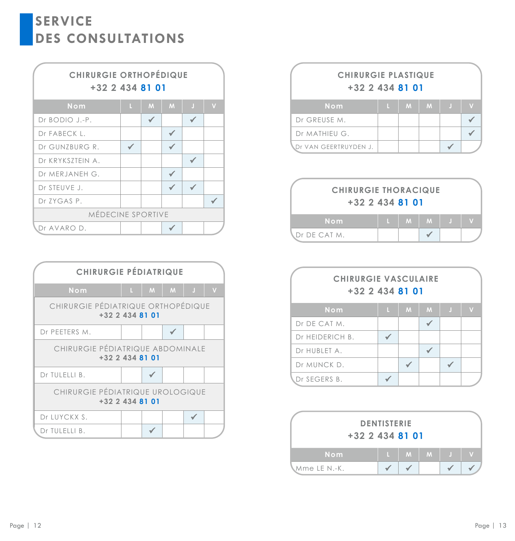



| <b>CHIRURGIE PLASTIQUE</b><br>$+32$ 2 434 81 01 |   |           |  |    |   |  |  |
|-------------------------------------------------|---|-----------|--|----|---|--|--|
| Nom                                             | Æ | $M$   $M$ |  | H. | V |  |  |
| Dr GREUSE M.                                    |   |           |  |    |   |  |  |
| Dr MATHIEU G.                                   |   |           |  |    |   |  |  |
| Dr VAN GEERTRUYDEN J.                           |   |           |  |    |   |  |  |

| <b>CHIRURGIE THORACIQUE</b><br>$+32$ 2 434 81 01 |  |  |         |    |  |  |  |
|--------------------------------------------------|--|--|---------|----|--|--|--|
| Nom                                              |  |  | $M$ $M$ | 47 |  |  |  |
| <b>NDr DE CAT M.</b>                             |  |  |         |    |  |  |  |

| <b>CHIRURGIE VASCULAIRE</b><br>$+32$ 2 434 81 01 |   |   |   |   |  |  |  |
|--------------------------------------------------|---|---|---|---|--|--|--|
| Nom                                              | п | M | M | O |  |  |  |
| Dr DE CAT M.                                     |   |   |   |   |  |  |  |
| Dr HEIDERICH B.                                  |   |   |   |   |  |  |  |
| Dr HUBLET A.                                     |   |   |   |   |  |  |  |
| Dr MUNCK D.                                      |   |   |   |   |  |  |  |
| Dr SEGERS B.                                     |   |   |   |   |  |  |  |

| $+32$ 2 434 81 01 | <b>DENTISTERIE</b> |              |             |   |  |
|-------------------|--------------------|--------------|-------------|---|--|
| Nom               |                    | $\mathbf{M}$ | $M_{\odot}$ | л |  |
| Mme LE N.-K.      |                    |              |             |   |  |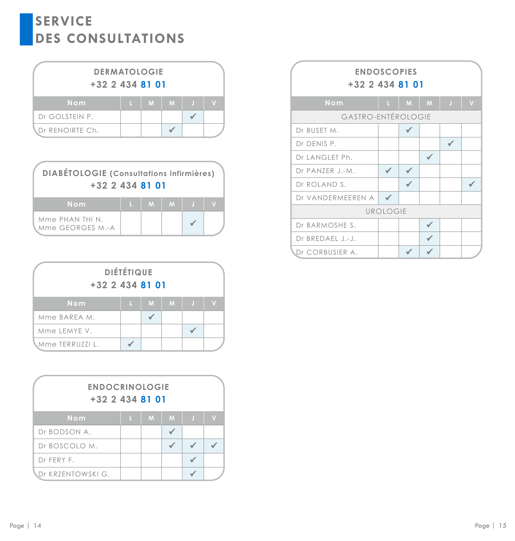| <b>DERMATOLOGIE</b><br>$+32$ 2 434 81 01 |   |         |  |  |  |  |  |
|------------------------------------------|---|---------|--|--|--|--|--|
| Nom                                      | п | $M$ $M$ |  |  |  |  |  |
| Dr GOLSTEIN P.                           |   |         |  |  |  |  |  |
| Dr RENOIRTE Ch.                          |   |         |  |  |  |  |  |

| <b>DIABÉTOLOGIE</b> (Consultations infirmières)<br>+32 2 434 81 01 |   |   |  |
|--------------------------------------------------------------------|---|---|--|
| Nom                                                                | M | M |  |
| Mme PHAN THI N.<br>Mme GEORGES M.-A                                |   |   |  |

| <b>DIÉTÉTIQUE</b><br>$+32$ 2 434 81 01 |    |   |   |   |  |  |  |  |
|----------------------------------------|----|---|---|---|--|--|--|--|
| Nom                                    | L. | M | M | л |  |  |  |  |
| Mme BAREA M.                           |    |   |   |   |  |  |  |  |
| Mme LEMYE V.                           |    |   |   |   |  |  |  |  |
| Mme TERRUZZI L.                        |    |   |   |   |  |  |  |  |

| <b>ENDOCRINOLOGIE</b><br>+32 2 434 81 01 |   |   |   |   |  |  |  |  |
|------------------------------------------|---|---|---|---|--|--|--|--|
| Nom                                      | п | M | M | Л |  |  |  |  |
| Dr BODSON A.                             |   |   |   |   |  |  |  |  |
| Dr BOSCOLO M.                            |   |   |   |   |  |  |  |  |
| Dr FERY F.                               |   |   |   |   |  |  |  |  |
| Dr KRZENTOWSKI G.                        |   |   |   |   |  |  |  |  |

| <b>ENDOSCOPIES</b><br>+32 2 434 81 01 |                 |   |   |         |                         |  |  |  |
|---------------------------------------|-----------------|---|---|---------|-------------------------|--|--|--|
| Nom                                   | U.              | M | M | $\bf J$ | $\overline{\mathsf{v}}$ |  |  |  |
| <b>GASTRO-ENTÉROLOGIE</b>             |                 |   |   |         |                         |  |  |  |
| Dr BUSET M.                           |                 |   |   |         |                         |  |  |  |
| Dr DENIS P.                           |                 |   |   |         |                         |  |  |  |
| Dr LANGLET Ph.                        |                 |   |   |         |                         |  |  |  |
| Dr PANZER J.-M.                       |                 |   |   |         |                         |  |  |  |
| Dr ROLAND S.                          |                 |   |   |         |                         |  |  |  |
| Dr VANDERMEEREN A                     |                 |   |   |         |                         |  |  |  |
|                                       | <b>UROLOGIE</b> |   |   |         |                         |  |  |  |
| Dr BARMOSHE S.                        |                 |   |   |         |                         |  |  |  |
| Dr BREDAEL J.-J.                      |                 |   |   |         |                         |  |  |  |
| Dr CORBUSIER A.                       |                 |   |   |         |                         |  |  |  |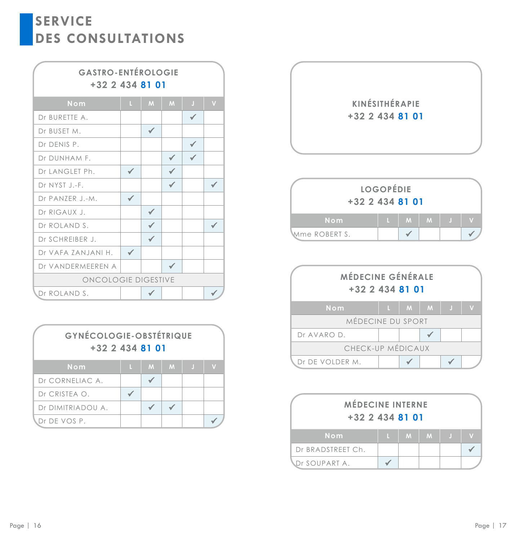## **GASTRO-ENTÉROLOGIE +32 2 434 81 01**

| Nom                 | L. | M            | M | Л | V |  |  |
|---------------------|----|--------------|---|---|---|--|--|
| Dr BURETTE A.       |    |              |   |   |   |  |  |
| Dr BUSET M.         |    | $\checkmark$ |   |   |   |  |  |
| Dr DENIS P.         |    |              |   |   |   |  |  |
| Dr DUNHAM F.        |    |              | √ |   |   |  |  |
| Dr LANGLET Ph.      |    |              |   |   |   |  |  |
| Dr NYST J.-F.       |    |              |   |   |   |  |  |
| Dr PANZER J.-M.     |    |              |   |   |   |  |  |
| Dr RIGAUX J.        |    |              |   |   |   |  |  |
| Dr ROLAND S.        |    |              |   |   |   |  |  |
| Dr SCHREIBER J.     |    |              |   |   |   |  |  |
| Dr VAFA ZANJANI H.  |    |              |   |   |   |  |  |
| Dr VANDERMEEREN A   |    |              |   |   |   |  |  |
| ONCOLOGIE DIGESTIVE |    |              |   |   |   |  |  |
| Dr ROLAND S.        |    |              |   |   |   |  |  |

| <b>GYNÉCOLOGIE-OBSTÉTRIQUE</b><br>$+32$ 2 434 81 01 |   |   |   |    |  |  |  |
|-----------------------------------------------------|---|---|---|----|--|--|--|
| Nom                                                 | п | M | M | A) |  |  |  |
| Dr CORNELIAC A.                                     |   |   |   |    |  |  |  |
| Dr CRISTEA O.                                       |   |   |   |    |  |  |  |
| Dr DIMITRIADOU A.                                   |   |   |   |    |  |  |  |
| r DE VOS P.                                         |   |   |   |    |  |  |  |





| <b>MÉDECINE GÉNÉRALE</b><br>+32 2 434 81 01 |    |   |   |   |  |
|---------------------------------------------|----|---|---|---|--|
| Nom                                         | L. | M | M | Ø |  |
| MÉDECINE DU SPORT                           |    |   |   |   |  |
| Dr AVARO D.                                 |    |   |   |   |  |
| CHECK-UP MÉDICAUX                           |    |   |   |   |  |
| Dr DE VOLDER M.                             |    |   |   |   |  |

| <b>MÉDECINE INTERNE</b><br>$+32$ 2 434 81 01 |    |   |   |    |  |  |  |
|----------------------------------------------|----|---|---|----|--|--|--|
| Nom                                          | n. | M | M | H. |  |  |  |
| Dr BRADSTREET Ch.                            |    |   |   |    |  |  |  |
| <b>NDr SOUPART A.</b>                        |    |   |   |    |  |  |  |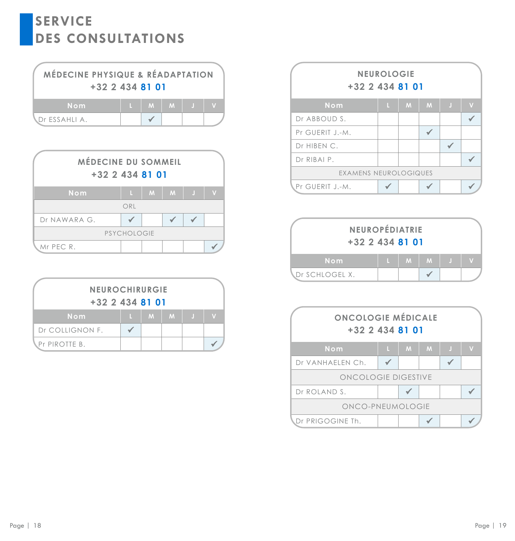| MÉDECINE PHYSIQUE & RÉADAPTATION<br>$+32$ 2 434 81 01 |  |                 |  |
|-------------------------------------------------------|--|-----------------|--|
| Nom                                                   |  | $L$ $M$ $M$ $J$ |  |
| <b>\</b> Dr ESSAHLI A.                                |  |                 |  |

| MÉDECINE DU SOMMEIL<br>$+32$ 2 434 81 01 |     |             |   |                       |  |  |  |  |  |
|------------------------------------------|-----|-------------|---|-----------------------|--|--|--|--|--|
| Nom                                      | п   | $M_{\odot}$ | M | $\blacktriangleright$ |  |  |  |  |  |
|                                          | ORL |             |   |                       |  |  |  |  |  |
| Dr NAWARA G.                             |     |             |   |                       |  |  |  |  |  |
| PSYCHOLOGIE                              |     |             |   |                       |  |  |  |  |  |
| Mr PEC R.                                |     |             |   |                       |  |  |  |  |  |

| <b>NEUROCHIRURGIE</b><br>$+32$ 2 434 81 01 |   |   |   |    |   |  |  |  |
|--------------------------------------------|---|---|---|----|---|--|--|--|
| Nom                                        | п | M | M | ÷. | v |  |  |  |
| Dr COLLIGNON F.                            |   |   |   |    |   |  |  |  |
| <b>\Pr PIROTTE B.</b>                      |   |   |   |    |   |  |  |  |

| <b>NEUROLOGIE</b><br>+32 2 434 81 01 |    |   |   |          |   |  |  |
|--------------------------------------|----|---|---|----------|---|--|--|
| Nom                                  | L. | M | M | <b>J</b> | N |  |  |
| Dr ABBOUD S.                         |    |   |   |          |   |  |  |
| Pr GUERIT J.-M.                      |    |   |   |          |   |  |  |
| Dr HIBEN C.                          |    |   |   |          |   |  |  |
| Dr RIBAI P.                          |    |   |   |          |   |  |  |
| EXAMENS NEUROLOGIQUES                |    |   |   |          |   |  |  |
| Pr GUERIT J.-M.                      |    |   |   |          |   |  |  |

| NEUROPÉDIATRIE<br>$+32$ 2 434 81 01 |   |               |  |
|-------------------------------------|---|---------------|--|
| Nom                                 | M | M <sub></sub> |  |
| .Dr SCHLOGEL X.                     |   |               |  |

| <b>ONCOLOGIE MÉDICALE</b><br>$+32$ 2 434 81 01 |    |   |   |   |  |
|------------------------------------------------|----|---|---|---|--|
| Nom                                            | L. | M | M | O |  |
| Dr VANHAELEN Ch.                               |    |   |   |   |  |
| ONCOLOGIE DIGESTIVE                            |    |   |   |   |  |
| Dr ROLAND S.                                   |    |   |   |   |  |
| ONCO-PNEUMOLOGIE                               |    |   |   |   |  |
| Dr PRIGOGINE Th.                               |    |   |   |   |  |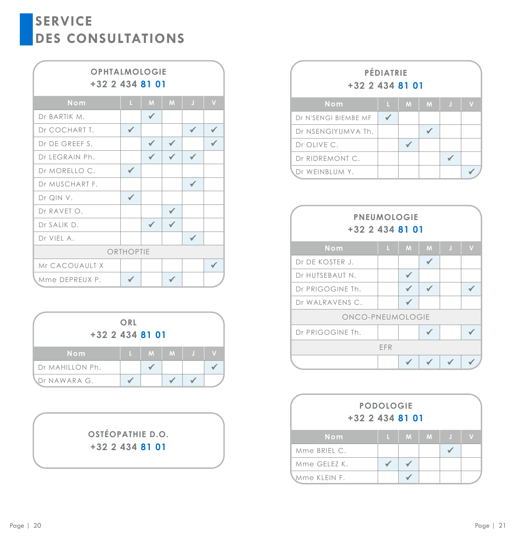## **OPHTALMOLOGIE +32 2 434 81 01**

| Nom            | L. | M | M | $\bf J$ | $\overline{\mathsf{v}}$ |  |  |  |
|----------------|----|---|---|---------|-------------------------|--|--|--|
| Dr BARTIK M.   |    | √ |   |         |                         |  |  |  |
| Dr COCHART T.  |    |   |   |         |                         |  |  |  |
| Dr DE GREEF S. |    |   |   |         |                         |  |  |  |
| Dr LEGRAIN Ph. |    |   |   |         |                         |  |  |  |
| Dr MORELLO C.  |    |   |   |         |                         |  |  |  |
| Dr MUSCHART F. |    |   |   | ✔       |                         |  |  |  |
| Dr QIN V.      |    |   |   |         |                         |  |  |  |
| Dr RAVET O.    |    |   |   |         |                         |  |  |  |
| Dr SALIK D.    |    |   |   |         |                         |  |  |  |
| Dr VIEL A.     |    |   |   |         |                         |  |  |  |
| ORTHOPTIE      |    |   |   |         |                         |  |  |  |
| Mr CACOUAULT X |    |   |   |         |                         |  |  |  |
| Mme DEPREUX P. |    |   |   |         |                         |  |  |  |

| $+32$ 2 434 81 01 | ORL |   |   |    |              |
|-------------------|-----|---|---|----|--------------|
| Nom               | L   | M | M | J. | $\mathbf{V}$ |
| Dr MAHILLON Ph.   |     |   |   |    |              |
| Dr NAWARA G.      |     |   |   |    |              |

## **OSTÉOPATHIE D.O. +32 2 434 81 01**

| PÉDIATRIE<br>$+32$ 2 434 81 01 |   |   |   |   |  |  |
|--------------------------------|---|---|---|---|--|--|
| Nom                            | п | M | M | Л |  |  |
| Dr N'SENGI BIEMBE MF           |   |   |   |   |  |  |
| Dr NSENGIYUMVA Th.             |   |   |   |   |  |  |
| Dr OLIVE C.                    |   |   |   |   |  |  |
| Dr RIDREMONT C.                |   |   |   |   |  |  |
| Dr WEINBLUM Y.                 |   |   |   |   |  |  |

| <b>PNEUMOLOGIE</b><br>+32 2 434 81 01 |    |   |   |   |                |  |  |  |
|---------------------------------------|----|---|---|---|----------------|--|--|--|
| Nom                                   | L. | M | M | J | $\overline{V}$ |  |  |  |
| Dr DE KOSTER J.                       |    |   |   |   |                |  |  |  |
| Dr HUTSEBAUT N.                       |    |   |   |   |                |  |  |  |
| Dr PRIGOGINE Th.                      |    |   |   |   |                |  |  |  |
| Dr WALRAVENS C.                       |    |   |   |   |                |  |  |  |
| ONCO-PNEUMOLOGIE                      |    |   |   |   |                |  |  |  |
| Dr PRIGOGINE Th.                      |    |   |   |   |                |  |  |  |
| EFR                                   |    |   |   |   |                |  |  |  |
|                                       |    |   |   |   |                |  |  |  |

| <b>PODOLOGIE</b><br>$+32$ 2 434 81 01 |    |   |   |   |  |  |
|---------------------------------------|----|---|---|---|--|--|
| Nom                                   | L. | M | M | л |  |  |
| Mme BRIEL C.                          |    |   |   |   |  |  |
| Mme GELEZ K.                          |    |   |   |   |  |  |
| Mme KLEIN F.                          |    |   |   |   |  |  |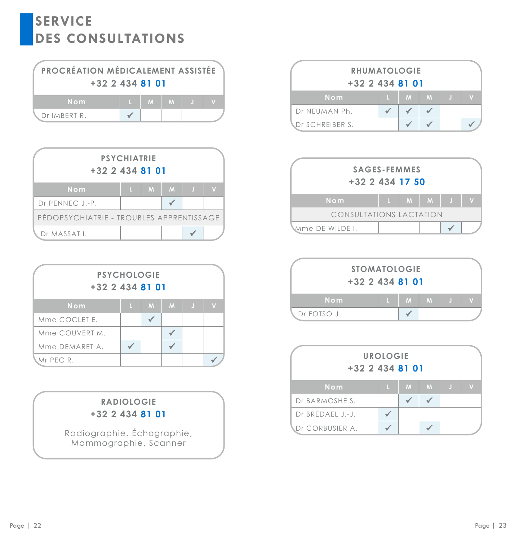| PROCRÉATION MÉDICALEMENT ASSISTÉE<br>$+32$ 2 434 81 01 |     |  |  |
|--------------------------------------------------------|-----|--|--|
| <b>Nom</b>                                             | M M |  |  |
| Dr IMBERT R.                                           |     |  |  |

| <b>PSYCHIATRIE</b><br>$+32$ 2 434 81 01  |    |   |   |     |   |  |  |  |  |
|------------------------------------------|----|---|---|-----|---|--|--|--|--|
| Nom                                      | L. | M | M | n T | V |  |  |  |  |
| Dr PENNEC J.-P.                          |    |   |   |     |   |  |  |  |  |
| PEDOPSYCHIATRIE - TROUBLES APPRENTISSAGE |    |   |   |     |   |  |  |  |  |
| Dr MASSAT I.                             |    |   |   |     |   |  |  |  |  |

| <b>PSYCHOLOGIE</b><br>$+32$ 2 434 81 01 |   |   |   |   |   |
|-----------------------------------------|---|---|---|---|---|
| Nom                                     | L | M | M | Π | V |
| Mme COCLET E.                           |   |   |   |   |   |
| Mme COUVERT M.                          |   |   |   |   |   |
| Mme DEMARET A.                          |   |   |   |   |   |
| Ar PEC R.                               |   |   |   |   |   |

## **RADIOLOGIE +32 2 434 81 01**

Radiographie, Échographie, Mammographie, Scanner

| <b>RHUMATOLOGIE</b><br>$+32$ 2 434 81 01 |  |              |   |  |  |
|------------------------------------------|--|--------------|---|--|--|
| Nom                                      |  | $\mathbf{M}$ | M |  |  |
| Dr NEUMAN Ph.                            |  |              |   |  |  |
| Dr SCHREIBER S.                          |  |              |   |  |  |



|             | <b>STOMATOLOGIE</b><br>$+32$ 2 434 81 01 |         |  |  |
|-------------|------------------------------------------|---------|--|--|
| Nom         | n.                                       | $M$ $M$ |  |  |
| Dr FOTSO J. |                                          |         |  |  |

| <b>UROLOGIE</b><br>$+32$ 2 434 81 01 |  |   |   |  |
|--------------------------------------|--|---|---|--|
| Nom                                  |  | M | M |  |
| Dr BARMOSHE S.                       |  |   |   |  |
| Dr BREDAEL J.-J.                     |  |   |   |  |
| Dr CORBUSIER A.                      |  |   |   |  |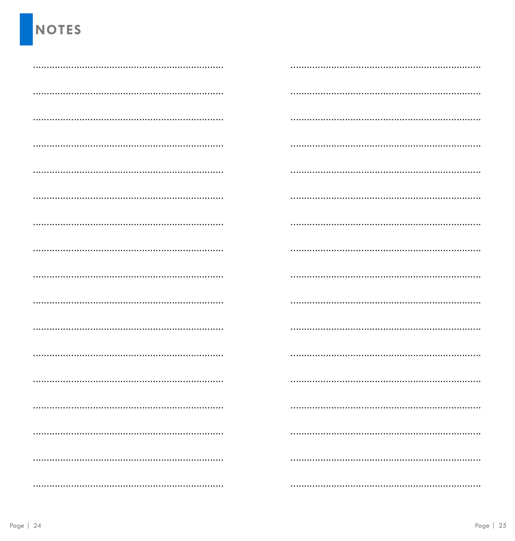# **NOTES**